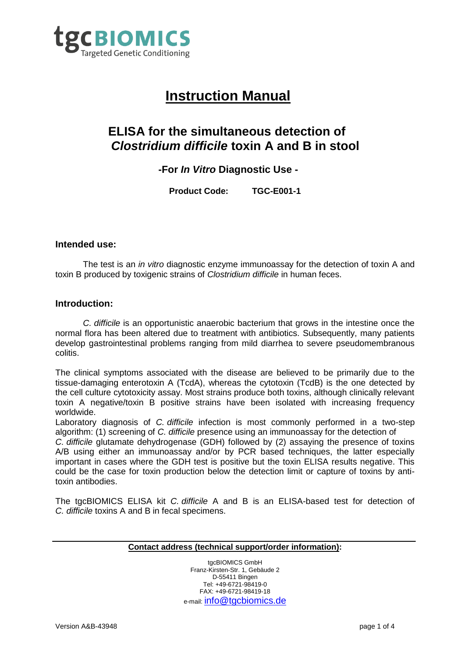

# **Instruction Manual**

## **ELISA for the simultaneous detection of**  *Clostridium difficile* **toxin A and B in stool**

### **-For** *In Vitro* **Diagnostic Use -**

**Product Code: TGC-E001-1**

#### **Intended use:**

The test is an *in vitro* diagnostic enzyme immunoassay for the detection of toxin A and toxin B produced by toxigenic strains of *Clostridium difficile* in human feces.

#### **Introduction:**

*C. difficile* is an opportunistic anaerobic bacterium that grows in the intestine once the normal flora has been altered due to treatment with antibiotics. Subsequently, many patients develop gastrointestinal problems ranging from mild diarrhea to severe pseudomembranous colitis.

The clinical symptoms associated with the disease are believed to be primarily due to the tissue-damaging enterotoxin A (TcdA), whereas the cytotoxin (TcdB) is the one detected by the cell culture cytotoxicity assay. Most strains produce both toxins, although clinically relevant toxin A negative/toxin B positive strains have been isolated with increasing frequency worldwide.

Laboratory diagnosis of *C. difficile* infection is most commonly performed in a two-step algorithm: (1) screening of *C. difficile* presence using an immunoassay for the detection of

*C. difficile* glutamate dehydrogenase (GDH) followed by (2) assaying the presence of toxins A/B using either an immunoassay and/or by PCR based techniques, the latter especially important in cases where the GDH test is positive but the toxin ELISA results negative. This could be the case for toxin production below the detection limit or capture of toxins by antitoxin antibodies.

The tgcBIOMICS ELISA kit *C. difficile* A and B is an ELISA-based test for detection of *C. difficile* toxins A and B in fecal specimens.

#### **Contact address (technical support/order information):**

tgcBIOMICS GmbH Franz-Kirsten-Str. 1, Gebäude 2 D-55411 Bingen Tel: +49-6721-98419-0 FAX: +49-6721-98419-18 e-mail: [info@tgcbiomics.de](mailto:info@tgcbiomics.de)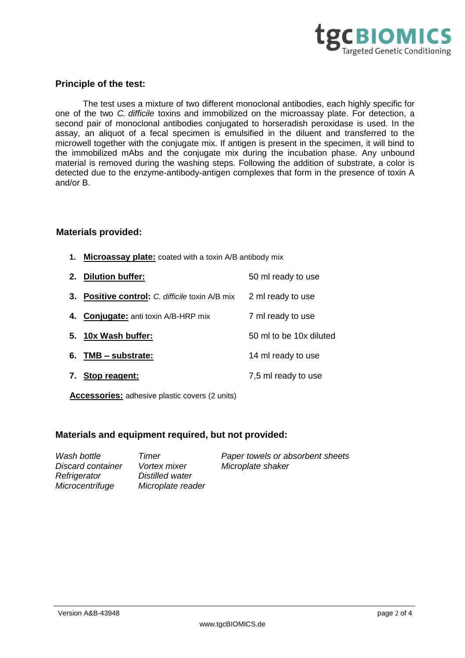

#### **Principle of the test:**

The test uses a mixture of two different monoclonal antibodies, each highly specific for one of the two *C. difficile* toxins and immobilized on the microassay plate. For detection, a second pair of monoclonal antibodies conjugated to horseradish peroxidase is used. In the assay, an aliquot of a fecal specimen is emulsified in the diluent and transferred to the microwell together with the conjugate mix. If antigen is present in the specimen, it will bind to the immobilized mAbs and the conjugate mix during the incubation phase. Any unbound material is removed during the washing steps. Following the addition of substrate, a color is detected due to the enzyme-antibody-antigen complexes that form in the presence of toxin A and/or B.

#### **Materials provided:**

- **1. Microassay plate:** coated with a toxin A/B antibody mix
- **2. Dilution buffer:** 50 ml ready to use **3. Positive control:** *C. difficile* toxin A/B mix 2 ml ready to use **4. Conjugate:** anti toxin A/B-HRP mix 7 ml ready to use **5. 10x Wash buffer:** 50 ml to be 10x diluted **6. TMB – substrate:** 14 ml ready to use **7. Stop reagent:** 7,5 ml ready to use

**Accessories:** adhesive plastic covers (2 units)

#### **Materials and equipment required, but not provided:**

| Wash bottle       | Timer               | Paper towels or absorbent sheets |
|-------------------|---------------------|----------------------------------|
| Discard container | <i>Vortex mixer</i> | Microplate shaker                |
| Refrigerator      | Distilled water     |                                  |
| Microcentrifuge   | Microplate reader   |                                  |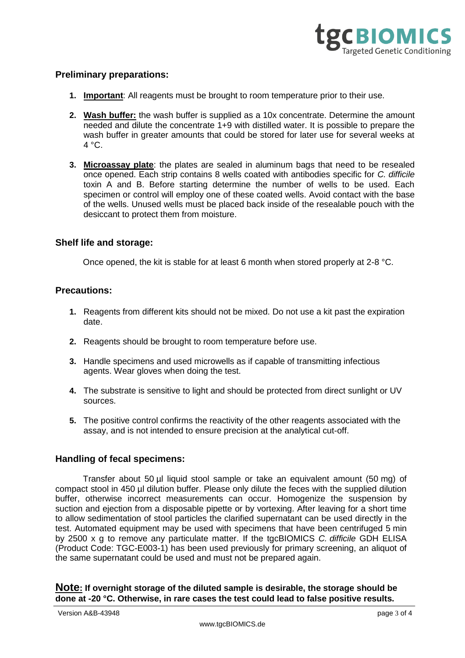

#### **Preliminary preparations:**

- **1. Important**: All reagents must be brought to room temperature prior to their use.
- **2. Wash buffer:** the wash buffer is supplied as a 10x concentrate. Determine the amount needed and dilute the concentrate 1+9 with distilled water. It is possible to prepare the wash buffer in greater amounts that could be stored for later use for several weeks at  $4 °C$ .
- **3. Microassay plate**: the plates are sealed in aluminum bags that need to be resealed once opened. Each strip contains 8 wells coated with antibodies specific for *C. difficile*  toxin A and B. Before starting determine the number of wells to be used. Each specimen or control will employ one of these coated wells. Avoid contact with the base of the wells. Unused wells must be placed back inside of the resealable pouch with the desiccant to protect them from moisture.

#### **Shelf life and storage:**

Once opened, the kit is stable for at least 6 month when stored properly at 2-8 °C.

#### **Precautions:**

- **1.** Reagents from different kits should not be mixed. Do not use a kit past the expiration date.
- **2.** Reagents should be brought to room temperature before use.
- **3.** Handle specimens and used microwells as if capable of transmitting infectious agents. Wear gloves when doing the test.
- **4.** The substrate is sensitive to light and should be protected from direct sunlight or UV sources.
- **5.** The positive control confirms the reactivity of the other reagents associated with the assay, and is not intended to ensure precision at the analytical cut-off.

#### **Handling of fecal specimens:**

Transfer about 50 µl liquid stool sample or take an equivalent amount (50 mg) of compact stool in 450 µl dilution buffer. Please only dilute the feces with the supplied dilution buffer, otherwise incorrect measurements can occur. Homogenize the suspension by suction and ejection from a disposable pipette or by vortexing. After leaving for a short time to allow sedimentation of stool particles the clarified supernatant can be used directly in the test. Automated equipment may be used with specimens that have been centrifuged 5 min by 2500 x g to remove any particulate matter. If the tgcBIOMICS *C. difficile* GDH ELISA (Product Code: TGC-E003-1) has been used previously for primary screening, an aliquot of the same supernatant could be used and must not be prepared again.

**Note: If overnight storage of the diluted sample is desirable, the storage should be done at -20 °C. Otherwise, in rare cases the test could lead to false positive results.**